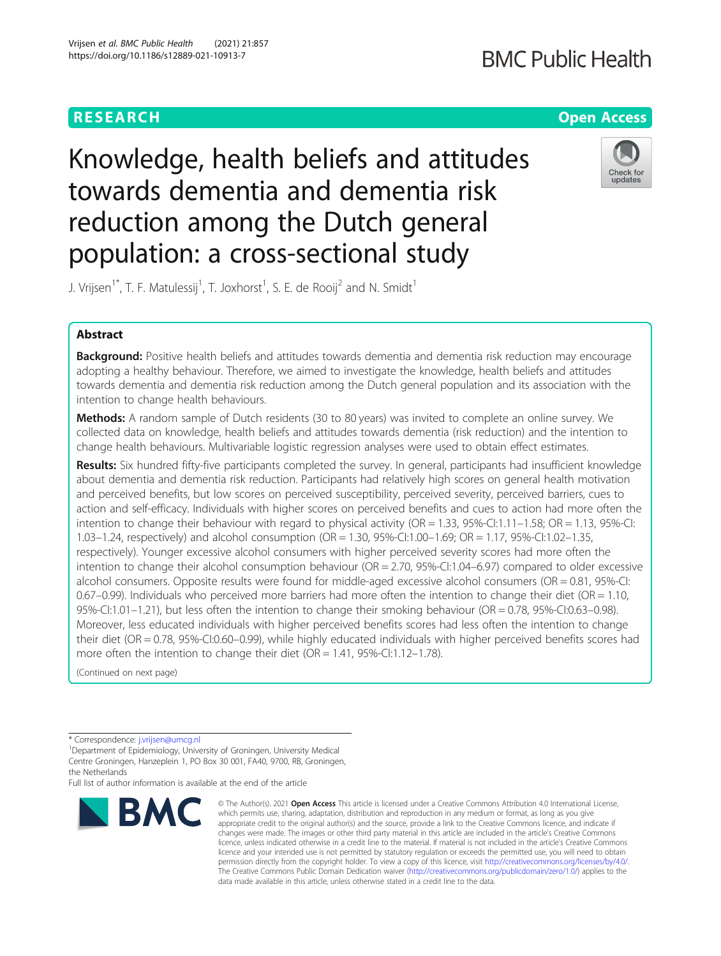## **RESEARCH CHE Open Access**

Knowledge, health beliefs and attitudes towards dementia and dementia risk reduction among the Dutch general population: a cross-sectional study



J. Vrijsen $^{\dagger *}$ , T. F. Matulessij $^{\dagger}$ , T. Joxhorst $^{\dagger}$ , S. E. de Rooij $^2$  and N. Smidt $^{\dagger}$ 

## Abstract

Background: Positive health beliefs and attitudes towards dementia and dementia risk reduction may encourage adopting a healthy behaviour. Therefore, we aimed to investigate the knowledge, health beliefs and attitudes towards dementia and dementia risk reduction among the Dutch general population and its association with the intention to change health behaviours.

Methods: A random sample of Dutch residents (30 to 80 years) was invited to complete an online survey. We collected data on knowledge, health beliefs and attitudes towards dementia (risk reduction) and the intention to change health behaviours. Multivariable logistic regression analyses were used to obtain effect estimates.

Results: Six hundred fifty-five participants completed the survey. In general, participants had insufficient knowledge about dementia and dementia risk reduction. Participants had relatively high scores on general health motivation and perceived benefits, but low scores on perceived susceptibility, perceived severity, perceived barriers, cues to action and self-efficacy. Individuals with higher scores on perceived benefits and cues to action had more often the intention to change their behaviour with regard to physical activity ( $OR = 1.33$ ,  $95\%$ -Cl:1.11–1.58;  $OR = 1.13$ ,  $95\%$ -Cl: 1.03–1.24, respectively) and alcohol consumption (OR = 1.30, 95%-CI:1.00–1.69; OR = 1.17, 95%-CI:1.02–1.35, respectively). Younger excessive alcohol consumers with higher perceived severity scores had more often the intention to change their alcohol consumption behaviour (OR = 2.70, 95%-CI:1.04–6.97) compared to older excessive alcohol consumers. Opposite results were found for middle-aged excessive alcohol consumers (OR = 0.81, 95%-CI: 0.67–0.99). Individuals who perceived more barriers had more often the intention to change their diet (OR = 1.10, 95%-CI:1.01–1.21), but less often the intention to change their smoking behaviour (OR = 0.78, 95%-CI:0.63–0.98). Moreover, less educated individuals with higher perceived benefits scores had less often the intention to change their diet (OR = 0.78, 95%-CI:0.60–0.99), while highly educated individuals with higher perceived benefits scores had more often the intention to change their diet (OR = 1.41, 95%-CI:1.12-1.78).

(Continued on next page)

Full list of author information is available at the end of the article



<sup>©</sup> The Author(s), 2021 **Open Access** This article is licensed under a Creative Commons Attribution 4.0 International License, which permits use, sharing, adaptation, distribution and reproduction in any medium or format, as long as you give appropriate credit to the original author(s) and the source, provide a link to the Creative Commons licence, and indicate if changes were made. The images or other third party material in this article are included in the article's Creative Commons licence, unless indicated otherwise in a credit line to the material. If material is not included in the article's Creative Commons licence and your intended use is not permitted by statutory regulation or exceeds the permitted use, you will need to obtain permission directly from the copyright holder. To view a copy of this licence, visit [http://creativecommons.org/licenses/by/4.0/.](http://creativecommons.org/licenses/by/4.0/) The Creative Commons Public Domain Dedication waiver [\(http://creativecommons.org/publicdomain/zero/1.0/](http://creativecommons.org/publicdomain/zero/1.0/)) applies to the data made available in this article, unless otherwise stated in a credit line to the data.

<sup>\*</sup> Correspondence: [j.vrijsen@umcg.nl](mailto:j.vrijsen@umcg.nl) <sup>1</sup>

<sup>&</sup>lt;sup>1</sup>Department of Epidemiology, University of Groningen, University Medical Centre Groningen, Hanzeplein 1, PO Box 30 001, FA40, 9700, RB, Groningen, the Netherlands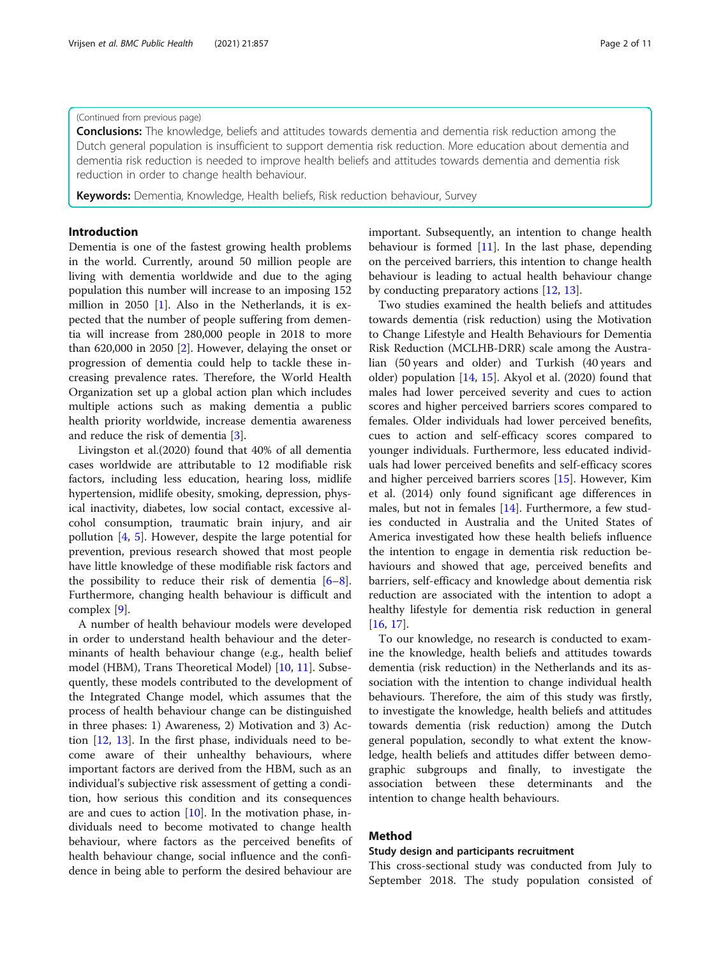### (Continued from previous page)

**Conclusions:** The knowledge, beliefs and attitudes towards dementia and dementia risk reduction among the Dutch general population is insufficient to support dementia risk reduction. More education about dementia and dementia risk reduction is needed to improve health beliefs and attitudes towards dementia and dementia risk reduction in order to change health behaviour.

Keywords: Dementia, Knowledge, Health beliefs, Risk reduction behaviour, Survey

### Introduction

Dementia is one of the fastest growing health problems in the world. Currently, around 50 million people are living with dementia worldwide and due to the aging population this number will increase to an imposing 152 million in 2050 [[1\]](#page-10-0). Also in the Netherlands, it is expected that the number of people suffering from dementia will increase from 280,000 people in 2018 to more than 620,000 in 2050 [\[2](#page-10-0)]. However, delaying the onset or progression of dementia could help to tackle these increasing prevalence rates. Therefore, the World Health Organization set up a global action plan which includes multiple actions such as making dementia a public health priority worldwide, increase dementia awareness and reduce the risk of dementia [\[3](#page-10-0)].

Livingston et al.(2020) found that 40% of all dementia cases worldwide are attributable to 12 modifiable risk factors, including less education, hearing loss, midlife hypertension, midlife obesity, smoking, depression, physical inactivity, diabetes, low social contact, excessive alcohol consumption, traumatic brain injury, and air pollution [\[4](#page-10-0), [5](#page-10-0)]. However, despite the large potential for prevention, previous research showed that most people have little knowledge of these modifiable risk factors and the possibility to reduce their risk of dementia [\[6](#page-10-0)–[8](#page-10-0)]. Furthermore, changing health behaviour is difficult and complex [\[9](#page-10-0)].

A number of health behaviour models were developed in order to understand health behaviour and the determinants of health behaviour change (e.g., health belief model (HBM), Trans Theoretical Model) [[10](#page-10-0), [11](#page-10-0)]. Subsequently, these models contributed to the development of the Integrated Change model, which assumes that the process of health behaviour change can be distinguished in three phases: 1) Awareness, 2) Motivation and 3) Action [\[12,](#page-10-0) [13\]](#page-10-0). In the first phase, individuals need to become aware of their unhealthy behaviours, where important factors are derived from the HBM, such as an individual's subjective risk assessment of getting a condition, how serious this condition and its consequences are and cues to action [[10\]](#page-10-0). In the motivation phase, individuals need to become motivated to change health behaviour, where factors as the perceived benefits of health behaviour change, social influence and the confidence in being able to perform the desired behaviour are

important. Subsequently, an intention to change health behaviour is formed  $[11]$  $[11]$  $[11]$ . In the last phase, depending on the perceived barriers, this intention to change health behaviour is leading to actual health behaviour change by conducting preparatory actions [\[12,](#page-10-0) [13\]](#page-10-0).

Two studies examined the health beliefs and attitudes towards dementia (risk reduction) using the Motivation to Change Lifestyle and Health Behaviours for Dementia Risk Reduction (MCLHB-DRR) scale among the Australian (50 years and older) and Turkish (40 years and older) population [[14](#page-10-0), [15\]](#page-10-0). Akyol et al. (2020) found that males had lower perceived severity and cues to action scores and higher perceived barriers scores compared to females. Older individuals had lower perceived benefits, cues to action and self-efficacy scores compared to younger individuals. Furthermore, less educated individuals had lower perceived benefits and self-efficacy scores and higher perceived barriers scores [[15\]](#page-10-0). However, Kim et al. (2014) only found significant age differences in males, but not in females [\[14\]](#page-10-0). Furthermore, a few studies conducted in Australia and the United States of America investigated how these health beliefs influence the intention to engage in dementia risk reduction behaviours and showed that age, perceived benefits and barriers, self-efficacy and knowledge about dementia risk reduction are associated with the intention to adopt a healthy lifestyle for dementia risk reduction in general [[16,](#page-10-0) [17\]](#page-10-0).

To our knowledge, no research is conducted to examine the knowledge, health beliefs and attitudes towards dementia (risk reduction) in the Netherlands and its association with the intention to change individual health behaviours. Therefore, the aim of this study was firstly, to investigate the knowledge, health beliefs and attitudes towards dementia (risk reduction) among the Dutch general population, secondly to what extent the knowledge, health beliefs and attitudes differ between demographic subgroups and finally, to investigate the association between these determinants and the intention to change health behaviours.

### Method

### Study design and participants recruitment

This cross-sectional study was conducted from July to September 2018. The study population consisted of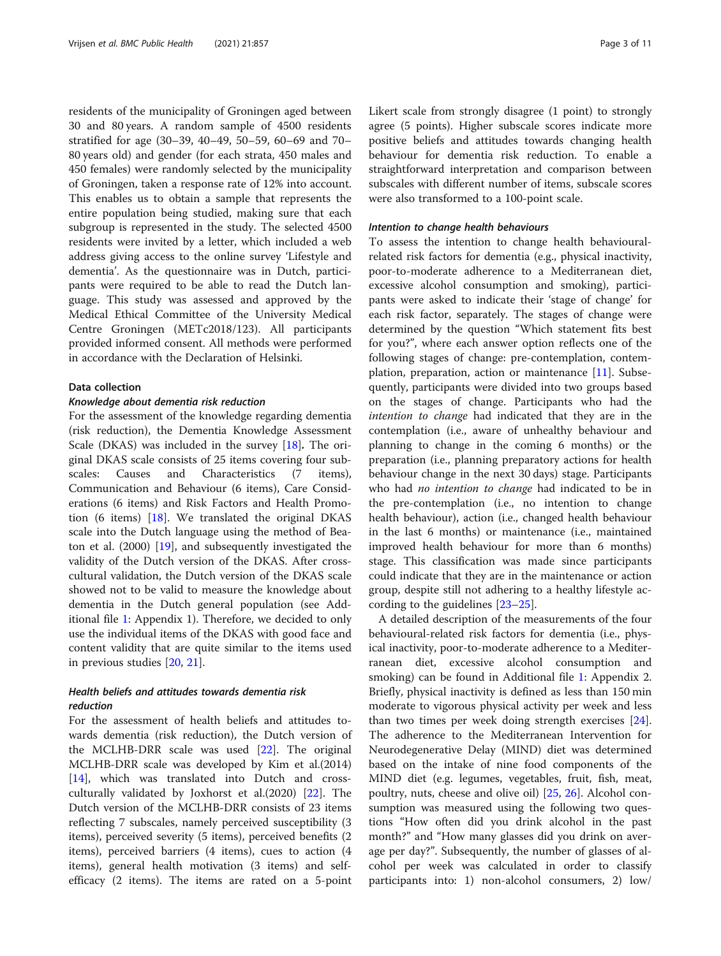residents of the municipality of Groningen aged between 30 and 80 years. A random sample of 4500 residents stratified for age (30–39, 40–49, 50–59, 60–69 and 70– 80 years old) and gender (for each strata, 450 males and 450 females) were randomly selected by the municipality of Groningen, taken a response rate of 12% into account. This enables us to obtain a sample that represents the entire population being studied, making sure that each subgroup is represented in the study. The selected 4500 residents were invited by a letter, which included a web address giving access to the online survey 'Lifestyle and dementia'. As the questionnaire was in Dutch, participants were required to be able to read the Dutch language. This study was assessed and approved by the Medical Ethical Committee of the University Medical Centre Groningen (METc2018/123). All participants provided informed consent. All methods were performed in accordance with the Declaration of Helsinki.

### Data collection

### Knowledge about dementia risk reduction

For the assessment of the knowledge regarding dementia (risk reduction), the Dementia Knowledge Assessment Scale (DKAS) was included in the survey [\[18](#page-10-0)]. The original DKAS scale consists of 25 items covering four subscales: Causes and Characteristics (7 items), Communication and Behaviour (6 items), Care Considerations (6 items) and Risk Factors and Health Promotion (6 items) [\[18\]](#page-10-0). We translated the original DKAS scale into the Dutch language using the method of Beaton et al. (2000) [\[19](#page-10-0)], and subsequently investigated the validity of the Dutch version of the DKAS. After crosscultural validation, the Dutch version of the DKAS scale showed not to be valid to measure the knowledge about dementia in the Dutch general population (see Additional file [1:](#page-9-0) Appendix 1). Therefore, we decided to only use the individual items of the DKAS with good face and content validity that are quite similar to the items used in previous studies [\[20](#page-10-0), [21](#page-10-0)].

### Health beliefs and attitudes towards dementia risk reduction

For the assessment of health beliefs and attitudes towards dementia (risk reduction), the Dutch version of the MCLHB-DRR scale was used [\[22](#page-10-0)]. The original MCLHB-DRR scale was developed by Kim et al.(2014) [[14\]](#page-10-0), which was translated into Dutch and crossculturally validated by Joxhorst et al.(2020) [[22\]](#page-10-0). The Dutch version of the MCLHB-DRR consists of 23 items reflecting 7 subscales, namely perceived susceptibility (3 items), perceived severity (5 items), perceived benefits (2 items), perceived barriers (4 items), cues to action (4 items), general health motivation (3 items) and selfefficacy (2 items). The items are rated on a 5-point Likert scale from strongly disagree (1 point) to strongly agree (5 points). Higher subscale scores indicate more positive beliefs and attitudes towards changing health behaviour for dementia risk reduction. To enable a straightforward interpretation and comparison between subscales with different number of items, subscale scores were also transformed to a 100-point scale.

#### Intention to change health behaviours

To assess the intention to change health behaviouralrelated risk factors for dementia (e.g., physical inactivity, poor-to-moderate adherence to a Mediterranean diet, excessive alcohol consumption and smoking), participants were asked to indicate their 'stage of change' for each risk factor, separately. The stages of change were determined by the question "Which statement fits best for you?", where each answer option reflects one of the following stages of change: pre-contemplation, contemplation, preparation, action or maintenance [\[11](#page-10-0)]. Subsequently, participants were divided into two groups based on the stages of change. Participants who had the intention to change had indicated that they are in the contemplation (i.e., aware of unhealthy behaviour and planning to change in the coming 6 months) or the preparation (i.e., planning preparatory actions for health behaviour change in the next 30 days) stage. Participants who had no intention to change had indicated to be in the pre-contemplation (i.e., no intention to change health behaviour), action (i.e., changed health behaviour in the last 6 months) or maintenance (i.e., maintained improved health behaviour for more than 6 months) stage. This classification was made since participants could indicate that they are in the maintenance or action group, despite still not adhering to a healthy lifestyle according to the guidelines [[23](#page-10-0)–[25](#page-10-0)].

A detailed description of the measurements of the four behavioural-related risk factors for dementia (i.e., physical inactivity, poor-to-moderate adherence to a Mediterranean diet, excessive alcohol consumption and smoking) can be found in Additional file [1:](#page-9-0) Appendix 2. Briefly, physical inactivity is defined as less than 150 min moderate to vigorous physical activity per week and less than two times per week doing strength exercises [\[24](#page-10-0)]. The adherence to the Mediterranean Intervention for Neurodegenerative Delay (MIND) diet was determined based on the intake of nine food components of the MIND diet (e.g. legumes, vegetables, fruit, fish, meat, poultry, nuts, cheese and olive oil) [[25,](#page-10-0) [26\]](#page-10-0). Alcohol consumption was measured using the following two questions "How often did you drink alcohol in the past month?" and "How many glasses did you drink on average per day?". Subsequently, the number of glasses of alcohol per week was calculated in order to classify participants into: 1) non-alcohol consumers, 2) low/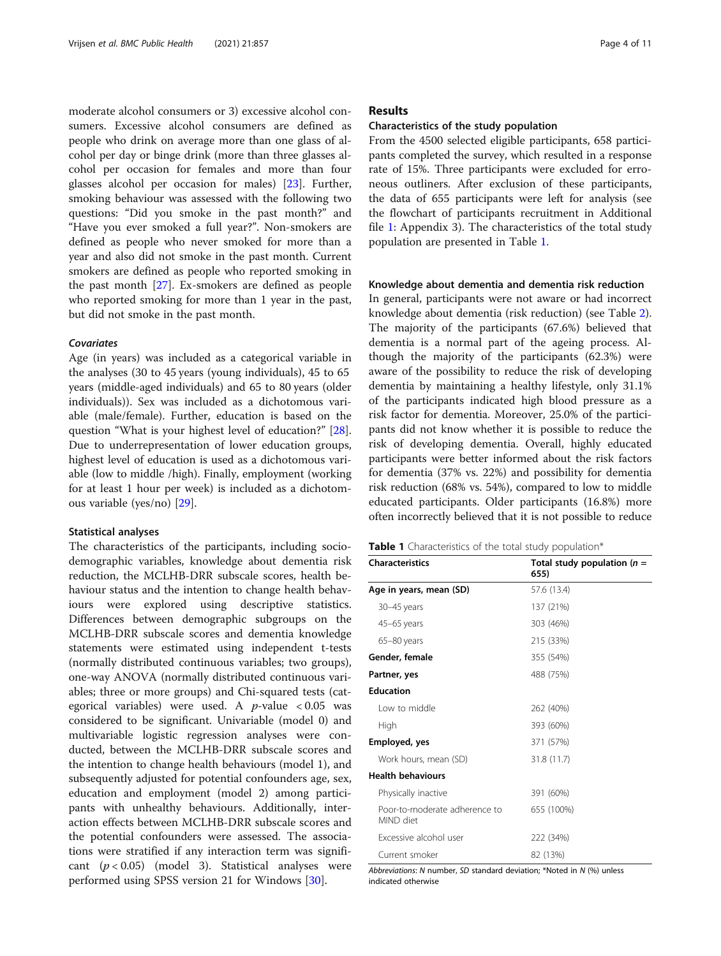moderate alcohol consumers or 3) excessive alcohol consumers. Excessive alcohol consumers are defined as people who drink on average more than one glass of alcohol per day or binge drink (more than three glasses alcohol per occasion for females and more than four glasses alcohol per occasion for males) [[23\]](#page-10-0). Further, smoking behaviour was assessed with the following two questions: "Did you smoke in the past month?" and "Have you ever smoked a full year?". Non-smokers are defined as people who never smoked for more than a year and also did not smoke in the past month. Current smokers are defined as people who reported smoking in the past month [\[27\]](#page-10-0). Ex-smokers are defined as people who reported smoking for more than 1 year in the past, but did not smoke in the past month.

#### Covariates

Age (in years) was included as a categorical variable in the analyses (30 to 45 years (young individuals), 45 to 65 years (middle-aged individuals) and 65 to 80 years (older individuals)). Sex was included as a dichotomous variable (male/female). Further, education is based on the question "What is your highest level of education?" [\[28](#page-10-0)]. Due to underrepresentation of lower education groups, highest level of education is used as a dichotomous variable (low to middle /high). Finally, employment (working for at least 1 hour per week) is included as a dichotomous variable (yes/no) [[29](#page-10-0)].

### Statistical analyses

The characteristics of the participants, including sociodemographic variables, knowledge about dementia risk reduction, the MCLHB-DRR subscale scores, health behaviour status and the intention to change health behaviours were explored using descriptive statistics. Differences between demographic subgroups on the MCLHB-DRR subscale scores and dementia knowledge statements were estimated using independent t-tests (normally distributed continuous variables; two groups), one-way ANOVA (normally distributed continuous variables; three or more groups) and Chi-squared tests (categorical variables) were used. A  $p$ -value < 0.05 was considered to be significant. Univariable (model 0) and multivariable logistic regression analyses were conducted, between the MCLHB-DRR subscale scores and the intention to change health behaviours (model 1), and subsequently adjusted for potential confounders age, sex, education and employment (model 2) among participants with unhealthy behaviours. Additionally, interaction effects between MCLHB-DRR subscale scores and the potential confounders were assessed. The associations were stratified if any interaction term was significant  $(p < 0.05)$  (model 3). Statistical analyses were performed using SPSS version 21 for Windows [\[30](#page-10-0)].

### Results

### Characteristics of the study population

From the 4500 selected eligible participants, 658 participants completed the survey, which resulted in a response rate of 15%. Three participants were excluded for erroneous outliners. After exclusion of these participants, the data of 655 participants were left for analysis (see the flowchart of participants recruitment in Additional file [1](#page-9-0): Appendix 3). The characteristics of the total study population are presented in Table 1.

### Knowledge about dementia and dementia risk reduction

In general, participants were not aware or had incorrect knowledge about dementia (risk reduction) (see Table [2](#page-4-0)). The majority of the participants (67.6%) believed that dementia is a normal part of the ageing process. Although the majority of the participants (62.3%) were aware of the possibility to reduce the risk of developing dementia by maintaining a healthy lifestyle, only 31.1% of the participants indicated high blood pressure as a risk factor for dementia. Moreover, 25.0% of the participants did not know whether it is possible to reduce the risk of developing dementia. Overall, highly educated participants were better informed about the risk factors for dementia (37% vs. 22%) and possibility for dementia risk reduction (68% vs. 54%), compared to low to middle educated participants. Older participants (16.8%) more often incorrectly believed that it is not possible to reduce

| <b>Table 1</b> Characteristics of the total study population* |  |
|---------------------------------------------------------------|--|
|---------------------------------------------------------------|--|

| <b>Characteristics</b>                     | Total study population ( $n =$ |
|--------------------------------------------|--------------------------------|
|                                            | 655)                           |
| Age in years, mean (SD)                    | 57.6 (13.4)                    |
| 30-45 years                                | 137 (21%)                      |
| 45–65 years                                | 303 (46%)                      |
| 65-80 years                                | 215 (33%)                      |
| Gender, female                             | 355 (54%)                      |
| Partner, yes                               | 488 (75%)                      |
| <b>Education</b>                           |                                |
| I ow to middle                             | 262 (40%)                      |
| High                                       | 393 (60%)                      |
| Employed, yes                              | 371 (57%)                      |
| Work hours, mean (SD)                      | 31.8 (11.7)                    |
| <b>Health behaviours</b>                   |                                |
| Physically inactive                        | 391 (60%)                      |
| Poor-to-moderate adherence to<br>MIND diet | 655 (100%)                     |
| Excessive alcohol user                     | 222 (34%)                      |
| Current smoker                             | 82 (13%)                       |

Abbreviations: N number, SD standard deviation; \*Noted in N (%) unless indicated otherwise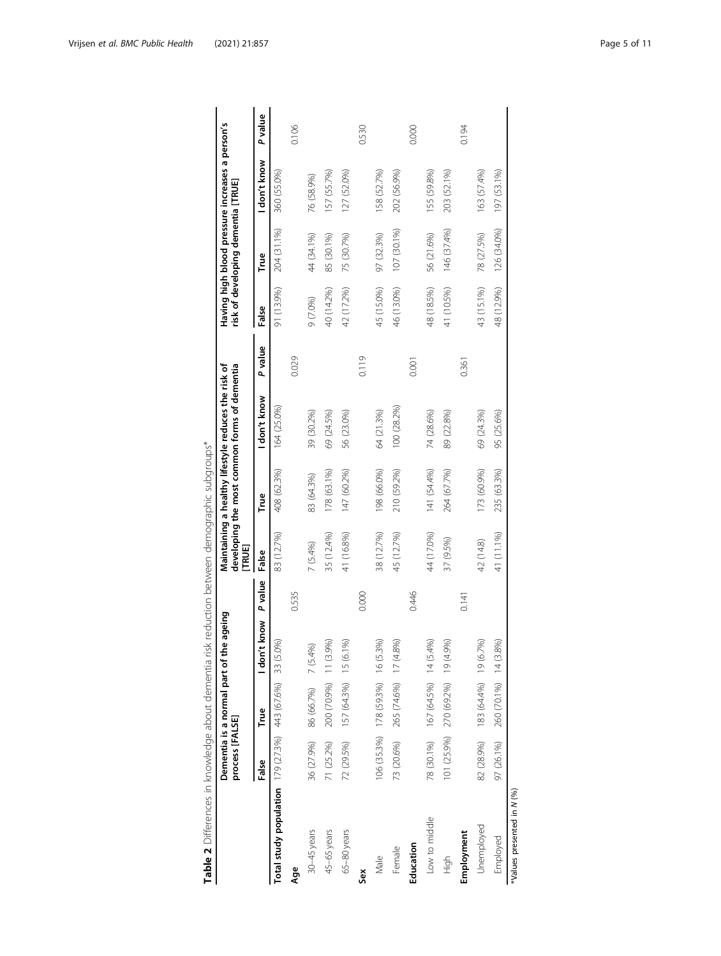<span id="page-4-0"></span>

|                                                          | process [FALSE] | Dementia is a normal part of the  | ageing          |         | (TRUE      |             | Maintaining a healthy lifestyle reduces the risk of<br>developing the most common forms of dementia |         |            | risk of developing dementia [TRUE] | Having high blood pressure increases a person's |                |
|----------------------------------------------------------|-----------------|-----------------------------------|-----------------|---------|------------|-------------|-----------------------------------------------------------------------------------------------------|---------|------------|------------------------------------|-------------------------------------------------|----------------|
|                                                          | False           | True                              | know<br>I don't | P value | False      | True        | don't know                                                                                          | P value | False      | True                               | I don't know                                    | <b>P</b> value |
| Total study population 179 (27.3%) 443 (67.6%) 33 (5.0%) |                 |                                   |                 |         | 83 (12.7%) | 408 (62.3%) | 164 (25.0%)                                                                                         |         | 91 (13.9%) | 204 (31.1%)                        | 360 (55.0%)                                     |                |
| Åge                                                      |                 |                                   |                 | 0.535   |            |             |                                                                                                     | 0.029   |            |                                    |                                                 | 0.106          |
| 30-45 years                                              | 36 (27.9%)      | 86 (66.7%) 7 (5.4%)               |                 |         | 7(5.4%)    | 83 (64.3%)  | 39 (30.2%)                                                                                          |         | 9 (7.0%)   | 44 (34.1%)                         | 76 (58.9%)                                      |                |
| 45-65 years                                              | 71 (25.2%)      | 200 (70.9%) 11 (3.9%)             |                 |         | 35 (12.4%) | 178 (63.1%) | 69 (24.5%)                                                                                          |         | 40 (14.2%) | 85 (30.1%)                         | 157 (55.7%)                                     |                |
| 65-80 years                                              | 72 (29.5%)      | 157 (64.3%) 15 (6.1%)             |                 |         | 41 (16.8%) | 147 (60.2%) | 56 (23.0%)                                                                                          |         | 42 (17.2%) | 75 (30.7%)                         | 127 (52.0%)                                     |                |
| Sex                                                      |                 |                                   |                 | 0.000   |            |             |                                                                                                     | 0.119   |            |                                    |                                                 | 0.530          |
| Male                                                     |                 | 106 (35.3%) 178 (59.3%) 16 (5.3%) |                 |         | 38 (12.7%) | 198 (66.0%) | 64 (21.3%)                                                                                          |         | 45 (15.0%) | 97 (32.3%)                         | 158 (52.7%)                                     |                |
| Female                                                   |                 | 73 (20.6%) 265 (74.6%) 17 (4.8%)  |                 |         | 45 (12.7%) | 210 (59.2%) | 100 (28.2%)                                                                                         |         | 46 (13.0%) | 107 (30.1%)                        | 202 (56.9%)                                     |                |
| Education                                                |                 |                                   |                 | 0.446   |            |             |                                                                                                     | 0.001   |            |                                    |                                                 | 0.000          |
| Low to middle                                            |                 | 78 (30.1%) 167 (64.5%) 14 (5.4%)  |                 |         | 44 (17.0%) | 141 (54.4%) | 74 (28.6%)                                                                                          |         | 48 (18.5%) | 56 (21.6%)                         | 155 (59.8%)                                     |                |
| High                                                     |                 | 101 (25.9%) 270 (69.2%) 19 (4.9%) |                 |         | 37 (9.5%)  | 264 (67.7%) | 89 (22.8%)                                                                                          |         | 41 (10.5%) | 146 (37.4%)                        | 203 (52.1%)                                     |                |
| Employment                                               |                 |                                   |                 | 0.141   |            |             |                                                                                                     | 0.361   |            |                                    |                                                 | 0.194          |
| Unemployed                                               |                 | 82 (28.9%) 183 (64.4%) 19 (6.7%)  |                 |         | 42 (14.8)  | 173 (60.9%) | 69 (24.3%)                                                                                          |         | 43 (15.1%) | 78 (27.5%)                         | 163 (57.4%)                                     |                |
| Employed                                                 | 97 (26.1%)      | 260 (70.1%) 14 (3.8%)             |                 |         | 41 (11.1%) | 235 (63.3%) | 95 (25.6%)                                                                                          |         | 48 (12.9%) | 126 (34.0%)                        | 197 (53.1%)                                     |                |
| "Values presented in N (%)                               |                 |                                   |                 |         |            |             |                                                                                                     |         |            |                                    |                                                 |                |

Table 2 Differences in knowledge about dementia risk reduction between demographic subgroups\* Table 2 Differences in knowledge about dementia risk reduction between demographic subgroups\*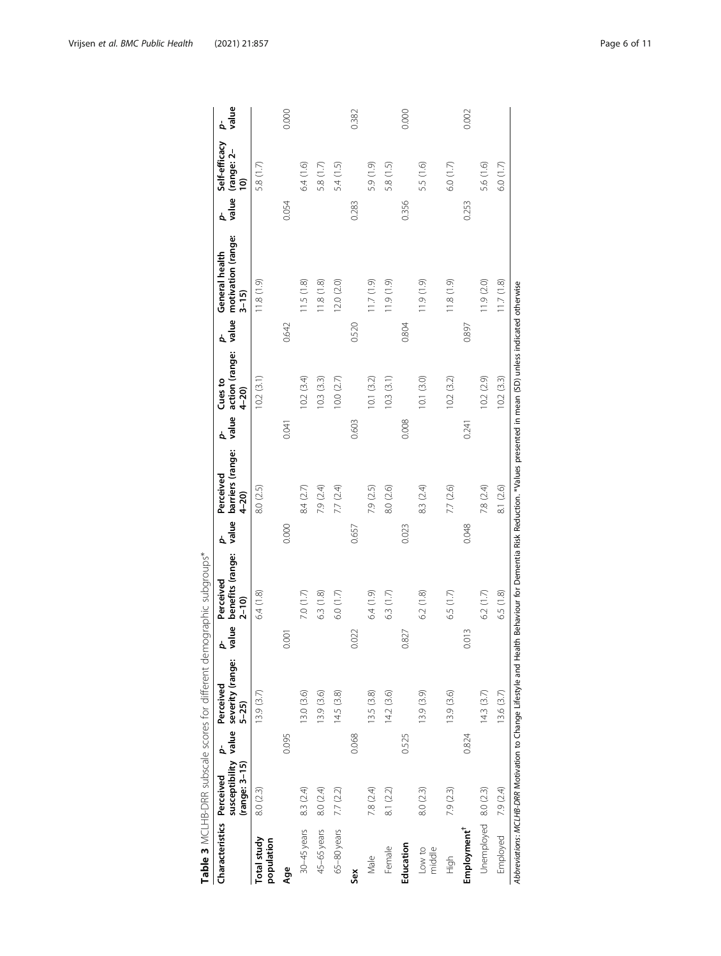<span id="page-5-0"></span>

|                           |               |       | Table 3 MCLHB-DRR subscale scores for different demographic subgroups* |            |                                                                                                      |            |                                           |            |                                       |            |                                                  |            |                                                       |             |
|---------------------------|---------------|-------|------------------------------------------------------------------------|------------|------------------------------------------------------------------------------------------------------|------------|-------------------------------------------|------------|---------------------------------------|------------|--------------------------------------------------|------------|-------------------------------------------------------|-------------|
| Characteristics Perceived | (range: 3-15) | 4     | susceptibility value severity (range:<br>Perceived<br>$5 - 25$         | value<br>á | benefits (range:<br>Perceived<br>$2 - 10$                                                            | value<br>¢ | barriers (range:<br>Perceived<br>$4 - 20$ | value<br>ć | action (range:<br>Cues to<br>$4 - 20$ | value<br>4 | motivation (range:<br>General health<br>$3 - 15$ | value<br>4 | Self-efficacy<br>(range: 2-<br>$\widehat{\mathsf{d}}$ | value<br>b. |
| Total study<br>population | 8.0 (2.3)     |       | 13.9(3.7)                                                              |            | 6.4(1.8)                                                                                             |            | 8.0 (2.5)                                 |            | 10.2(3.1)                             |            | (0.10, 811)                                      |            | 5.8 (1.7)                                             |             |
| Age                       |               | 0.095 |                                                                        | 0.001      |                                                                                                      | 0.000      |                                           | 0.041      |                                       | 0.642      |                                                  | 0.054      |                                                       | 0.000       |
| 30-45 years               | 8.3 (2.4)     |       | 13.0 (3.6)                                                             |            | 7.0 $(1.7)$                                                                                          |            | 8.4 (2.7)                                 |            | 10.2(3.4)                             |            | 11.5(1.8)                                        |            | 6.4(1.6)                                              |             |
| 45-65 years               | 8.0 (2.4)     |       | 13.9 (3.6)                                                             |            | 6.3 (1.8)                                                                                            |            | 7.9 (2.4)                                 |            | 10.3(3.3)                             |            | 11.8(1.8)                                        |            | 5.8 (1.7)                                             |             |
| 65-80 years               | 7.7 (2.2)     |       | 14.5(3.8)                                                              |            | 6.0(1.7)                                                                                             |            | 7.7 (2.4)                                 |            | 10.0(2.7)                             |            | 12.0 (2.0)                                       |            | 5.4 (1.5)                                             |             |
| Sex                       |               | 0.068 |                                                                        | 0.022      |                                                                                                      | 0.657      |                                           | 0.603      |                                       | 0.520      |                                                  | 0.283      |                                                       | 0.382       |
| Male                      | 7.8 (2.4)     |       | 13.5 (3.8)                                                             |            | 6.4 (1.9)                                                                                            |            | 7.9 (2.5)                                 |            | 10.1(3.2)                             |            | (6.1) 7.11                                       |            | 5.9 (1.9)                                             |             |
| Female                    | 8.1 (2.2)     |       | 14.2(3.6)                                                              |            | 6.3(1.7)                                                                                             |            | 8.0 (2.6)                                 |            | 10.3(3.1)                             |            | $(0.1)$ $(0.1)$                                  |            | 5.8 (1.5)                                             |             |
| Education                 |               | 0.525 |                                                                        | 0.827      |                                                                                                      | 0.023      |                                           | 0.008      |                                       | 0.804      |                                                  | 0.356      |                                                       | 0.000       |
| Low to<br>middle          | 8.0 (2.3)     |       | 13.9 (3.9)                                                             |            | 6.2 (1.8)                                                                                            |            | 8.3 (2.4)                                 |            | 10.1(3.0)                             |            | 11.9 (1.9)                                       |            | 5.5 (1.6)                                             |             |
| High                      | 7.9 (2.3)     |       | 13.9 (3.6)                                                             |            | 6.5 $(1.7)$                                                                                          |            | 7.7 (2.6)                                 |            | 10.2(3.2)                             |            | (1.8(1.9)                                        |            | 6.0 (1.7)                                             |             |
| Employment <sup>†</sup>   |               | 0.824 |                                                                        | 0.013      |                                                                                                      | 0.048      |                                           | 0.241      |                                       | 0.897      |                                                  | 0.253      |                                                       | 0.002       |
| Unemployed 8.0 (2.3)      |               |       | 14.3(3.7)                                                              |            | 6.2(1.7)                                                                                             |            | 7.8 (2.4)                                 |            | 10.2(2.9)                             |            | 11.9 (2.0)                                       |            | 5.6 (1.6)                                             |             |
| Employed                  | 7.9 (2.4)     |       | 13.6 (3.7)                                                             |            | 6.5(1.8)                                                                                             |            | 8.1 (2.6)                                 |            | 10.2(3.3)                             |            | 11.7(1.8)                                        |            | 6.0 (1.7)                                             |             |
|                           |               |       | Abbreviations: MCLHB-DRR Motivation to Change Lifestyle and Hea        |            | lth Behaviour for Dementia Risk Reduction. *Values presented in mean (SD) unless indicated otherwise |            |                                           |            |                                       |            |                                                  |            |                                                       |             |

| i           |
|-------------|
|             |
| J           |
| ļ           |
| ī           |
| I           |
| J<br>ś      |
|             |
| i<br>1<br>١ |
| Ï           |
| ١           |
|             |
|             |
| Ç<br>١      |
| ţ           |
|             |
|             |
| I           |
| ļ           |
|             |
| ļ<br>Ĵ      |
|             |
| Ì<br>j<br>١ |
|             |
| I<br>١      |
| I           |
| í<br>Š      |
|             |
| Ò<br>۱      |
| ī           |
|             |
|             |
|             |
| ļ           |
| Ò           |
|             |
| ś           |
| j           |
| í           |
|             |
|             |
| ī           |
|             |
|             |
| I<br>١      |
|             |
|             |
|             |
| j<br>١      |
|             |
| ļ<br>J      |
| ś           |
| I<br>١      |
| j           |
| l           |
| I<br>١      |
|             |
| ¢<br>j      |
|             |
| Ó<br>١      |
| ţ<br>j      |
| Ï           |
| ١           |
|             |
|             |
|             |
| Ï           |
|             |
| I           |
|             |
| j           |
|             |
| l           |
| I           |
| I<br>۱      |
|             |
|             |
| l           |
| Ì           |
| Ï           |
|             |
|             |
|             |
|             |
| ť           |
|             |
| l<br>í<br>۱ |
|             |
|             |
|             |
|             |
| I           |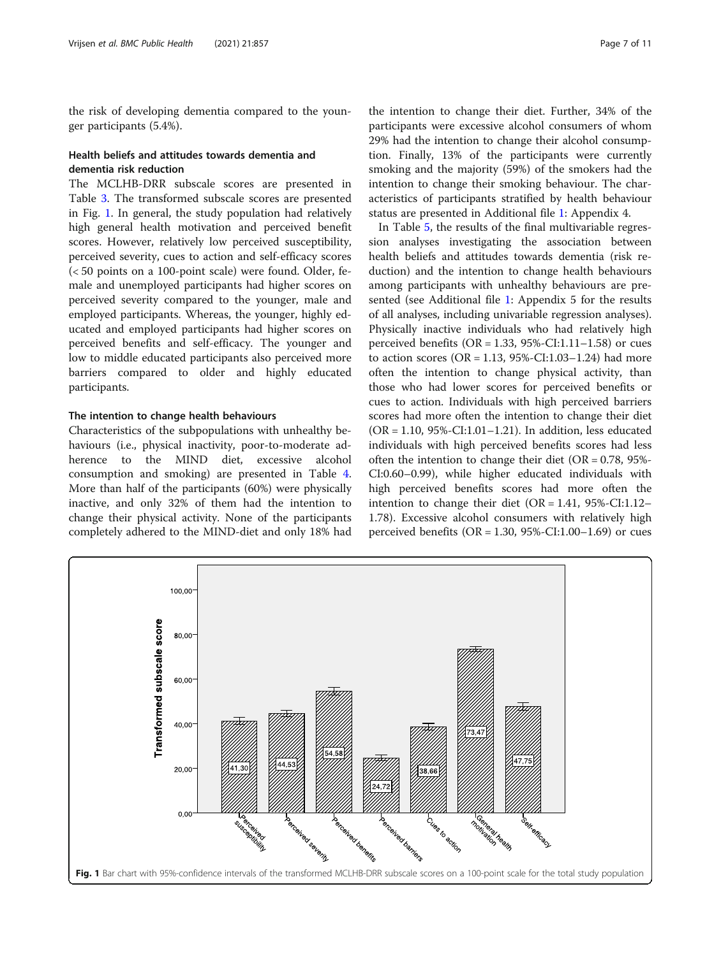the risk of developing dementia compared to the younger participants (5.4%).

### Health beliefs and attitudes towards dementia and dementia risk reduction

The MCLHB-DRR subscale scores are presented in Table [3](#page-5-0). The transformed subscale scores are presented in Fig. 1. In general, the study population had relatively high general health motivation and perceived benefit scores. However, relatively low perceived susceptibility, perceived severity, cues to action and self-efficacy scores (< 50 points on a 100-point scale) were found. Older, female and unemployed participants had higher scores on perceived severity compared to the younger, male and employed participants. Whereas, the younger, highly educated and employed participants had higher scores on perceived benefits and self-efficacy. The younger and low to middle educated participants also perceived more barriers compared to older and highly educated participants.

### The intention to change health behaviours

Characteristics of the subpopulations with unhealthy behaviours (i.e., physical inactivity, poor-to-moderate adherence to the MIND diet, excessive alcohol consumption and smoking) are presented in Table [4](#page-7-0). More than half of the participants (60%) were physically inactive, and only 32% of them had the intention to change their physical activity. None of the participants completely adhered to the MIND-diet and only 18% had

the intention to change their diet. Further, 34% of the participants were excessive alcohol consumers of whom 29% had the intention to change their alcohol consumption. Finally, 13% of the participants were currently smoking and the majority (59%) of the smokers had the intention to change their smoking behaviour. The characteristics of participants stratified by health behaviour status are presented in Additional file [1:](#page-9-0) Appendix 4.

In Table [5](#page-7-0), the results of the final multivariable regression analyses investigating the association between health beliefs and attitudes towards dementia (risk reduction) and the intention to change health behaviours among participants with unhealthy behaviours are presented (see Additional file [1](#page-9-0): Appendix 5 for the results of all analyses, including univariable regression analyses). Physically inactive individuals who had relatively high perceived benefits ( $OR = 1.33$ ,  $95\%$ -CI:1.11–1.58) or cues to action scores ( $OR = 1.13$ ,  $95% - CI:1.03 - 1.24$ ) had more often the intention to change physical activity, than those who had lower scores for perceived benefits or cues to action. Individuals with high perceived barriers scores had more often the intention to change their diet  $(OR = 1.10, 95\% - CI:1.01 - 1.21)$ . In addition, less educated individuals with high perceived benefits scores had less often the intention to change their diet ( $OR = 0.78$ , 95%-CI:0.60–0.99), while higher educated individuals with high perceived benefits scores had more often the intention to change their diet  $(OR = 1.41, 95\% \text{-}CI:1.12-$ 1.78). Excessive alcohol consumers with relatively high perceived benefits (OR =  $1.30$ ,  $95\%$ -CI: $1.00-1.69$ ) or cues

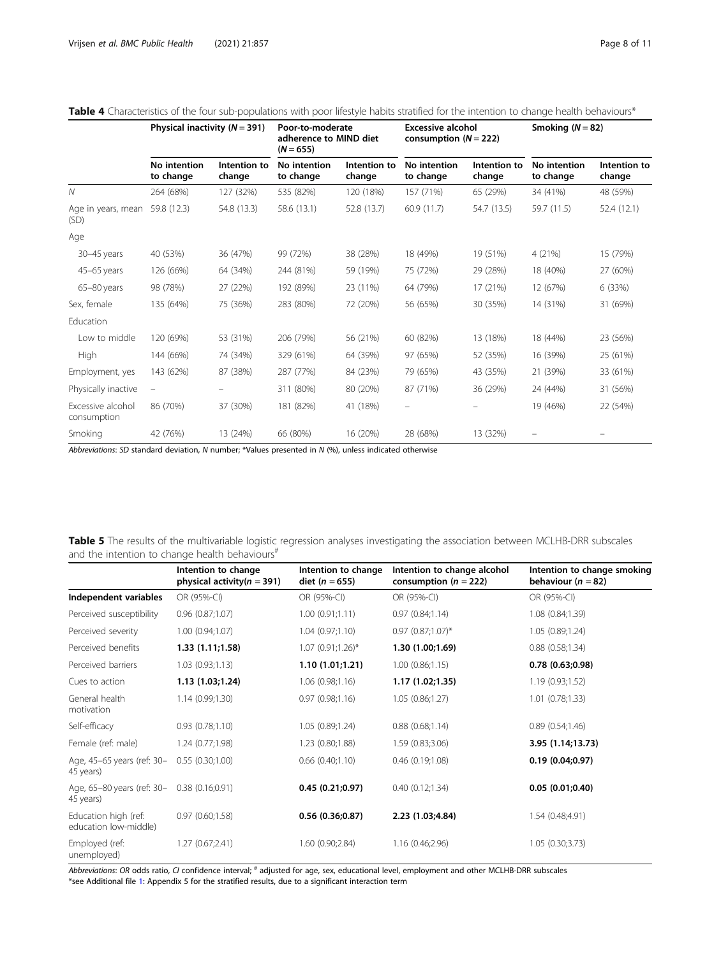|                                  |                           | Physical inactivity $(N = 391)$<br>Poor-to-moderate<br>adherence to MIND diet<br>$(N = 655)$ |                           |                        | <b>Excessive alcohol</b><br>consumption $(N = 222)$ |                        |                           | Smoking $(N = 82)$     |
|----------------------------------|---------------------------|----------------------------------------------------------------------------------------------|---------------------------|------------------------|-----------------------------------------------------|------------------------|---------------------------|------------------------|
|                                  | No intention<br>to change | Intention to<br>change                                                                       | No intention<br>to change | Intention to<br>change | No intention<br>to change                           | Intention to<br>change | No intention<br>to change | Intention to<br>change |
| $\mathcal N$                     | 264 (68%)                 | 127 (32%)                                                                                    | 535 (82%)                 | 120 (18%)              | 157 (71%)                                           | 65 (29%)               | 34 (41%)                  | 48 (59%)               |
| Age in years, mean<br>(SD)       | 59.8 (12.3)               | 54.8 (13.3)                                                                                  | 58.6 (13.1)               | 52.8 (13.7)            | 60.9(11.7)                                          | 54.7 (13.5)            | 59.7 (11.5)               | 52.4(12.1)             |
| Age                              |                           |                                                                                              |                           |                        |                                                     |                        |                           |                        |
| 30-45 years                      | 40 (53%)                  | 36 (47%)                                                                                     | 99 (72%)                  | 38 (28%)               | 18 (49%)                                            | 19 (51%)               | 4 (21%)                   | 15 (79%)               |
| 45-65 years                      | 126 (66%)                 | 64 (34%)                                                                                     | 244 (81%)                 | 59 (19%)               | 75 (72%)                                            | 29 (28%)               | 18 (40%)                  | 27 (60%)               |
| 65-80 years                      | 98 (78%)                  | 27 (22%)                                                                                     | 192 (89%)                 | 23 (11%)               | 64 (79%)                                            | 17 (21%)               | 12 (67%)                  | 6 (33%)                |
| Sex, female                      | 135 (64%)                 | 75 (36%)                                                                                     | 283 (80%)                 | 72 (20%)               | 56 (65%)                                            | 30 (35%)               | 14 (31%)                  | 31 (69%)               |
| Education                        |                           |                                                                                              |                           |                        |                                                     |                        |                           |                        |
| Low to middle                    | 120 (69%)                 | 53 (31%)                                                                                     | 206 (79%)                 | 56 (21%)               | 60 (82%)                                            | 13 (18%)               | 18 (44%)                  | 23 (56%)               |
| High                             | 144 (66%)                 | 74 (34%)                                                                                     | 329 (61%)                 | 64 (39%)               | 97 (65%)                                            | 52 (35%)               | 16 (39%)                  | 25 (61%)               |
| Employment, yes                  | 143 (62%)                 | 87 (38%)                                                                                     | 287 (77%)                 | 84 (23%)               | 79 (65%)                                            | 43 (35%)               | 21 (39%)                  | 33 (61%)               |
| Physically inactive              | $\qquad \qquad -$         |                                                                                              | 311 (80%)                 | 80 (20%)               | 87 (71%)                                            | 36 (29%)               | 24 (44%)                  | 31 (56%)               |
| Excessive alcohol<br>consumption | 86 (70%)                  | 37 (30%)                                                                                     | 181 (82%)                 | 41 (18%)               | $\qquad \qquad -$                                   |                        | 19 (46%)                  | 22 (54%)               |
| Smoking                          | 42 (76%)                  | 13 (24%)                                                                                     | 66 (80%)                  | 16 (20%)               | 28 (68%)                                            | 13 (32%)               |                           |                        |

### <span id="page-7-0"></span>Table 4 Characteristics of the four sub-populations with poor lifestyle habits stratified for the intention to change health behaviours\*

Abbreviations: SD standard deviation, N number; \*Values presented in N (%), unless indicated otherwise

| Table 5 The results of the multivariable logistic regression analyses investigating the association between MCLHB-DRR subscales |  |  |  |  |  |
|---------------------------------------------------------------------------------------------------------------------------------|--|--|--|--|--|
| and the intention to change health behaviours <sup>#</sup>                                                                      |  |  |  |  |  |

|                                               | Intention to change<br>physical activity( $n = 391$ ) | Intention to change<br>diet ( $n = 655$ ) | Intention to change alcohol<br>consumption ( $n = 222$ ) | Intention to change smoking<br>behaviour ( $n = 82$ ) |
|-----------------------------------------------|-------------------------------------------------------|-------------------------------------------|----------------------------------------------------------|-------------------------------------------------------|
| Independent variables                         | OR (95%-CI)                                           | OR (95%-CI)                               | OR (95%-CI)                                              | OR (95%-CI)                                           |
| Perceived susceptibility                      | 0.96(0.87;1.07)                                       | 1.00(0.91;1.11)                           | 0.97(0.84;1.14)                                          | 1.08(0.84;1.39)                                       |
| Perceived severity                            | 1.00(0.94;1.07)                                       | 1.04(0.97;1.10)                           | $0.97$ $(0.87;1.07)^*$                                   | 1.05(0.89;1.24)                                       |
| Perceived benefits                            | 1.33(1.11;1.58)                                       | $1.07$ (0.91;1.26)*                       | 1.30 (1.00;1.69)                                         | 0.88(0.58;1.34)                                       |
| Perceived barriers                            | 1.03(0.93;1.13)                                       | 1.10(1.01;1.21)                           | 1.00(0.86;1.15)                                          | 0.78(0.63;0.98)                                       |
| Cues to action                                | 1.13(1.03;1.24)                                       | 1.06(0.98;1.16)                           | 1.17 (1.02;1.35)                                         | 1.19(0.93;1.52)                                       |
| General health<br>motivation                  | 1.14(0.99;1.30)                                       | 0.97(0.98;1.16)                           | 1.05(0.86;1.27)                                          | 1.01(0.78;1.33)                                       |
| Self-efficacy                                 | 0.93(0.78;1.10)                                       | 1.05(0.89;1.24)                           | 0.88(0.68;1.14)                                          | 0.89(0.54;1.46)                                       |
| Female (ref: male)                            | 1.24(0.77;1.98)                                       | 1.23 (0.80;1.88)                          | 1.59 (0.83;3.06)                                         | 3.95 (1.14;13.73)                                     |
| Age, 45-65 years (ref: 30-<br>45 years)       | 0.55(0.30;1.00)                                       | $0.66$ $(0.40;1.10)$                      | 0.46(0.19;1.08)                                          | 0.19(0.04;0.97)                                       |
| Age, 65-80 years (ref: 30-<br>45 years)       | 0.38(0.16;0.91)                                       | 0.45(0.21;0.97)                           | 0.40(0.12;1.34)                                          | 0.05(0.01;0.40)                                       |
| Education high (ref:<br>education low-middle) | 0.97(0.60;1.58)                                       | 0.56(0.36;0.87)                           | 2.23 (1.03;4.84)                                         | 1.54 (0.48;4.91)                                      |
| Employed (ref:<br>unemployed)                 | 1.27(0.67;2.41)                                       | 1.60 (0.90;2.84)                          | 1.16 (0.46;2.96)                                         | 1.05(0.30;3.73)                                       |

Abbreviations: OR odds ratio, CI confidence interval; # adjusted for age, sex, educational level, employment and other MCLHB-DRR subscales \*see Additional file [1](#page-9-0): Appendix 5 for the stratified results, due to a significant interaction term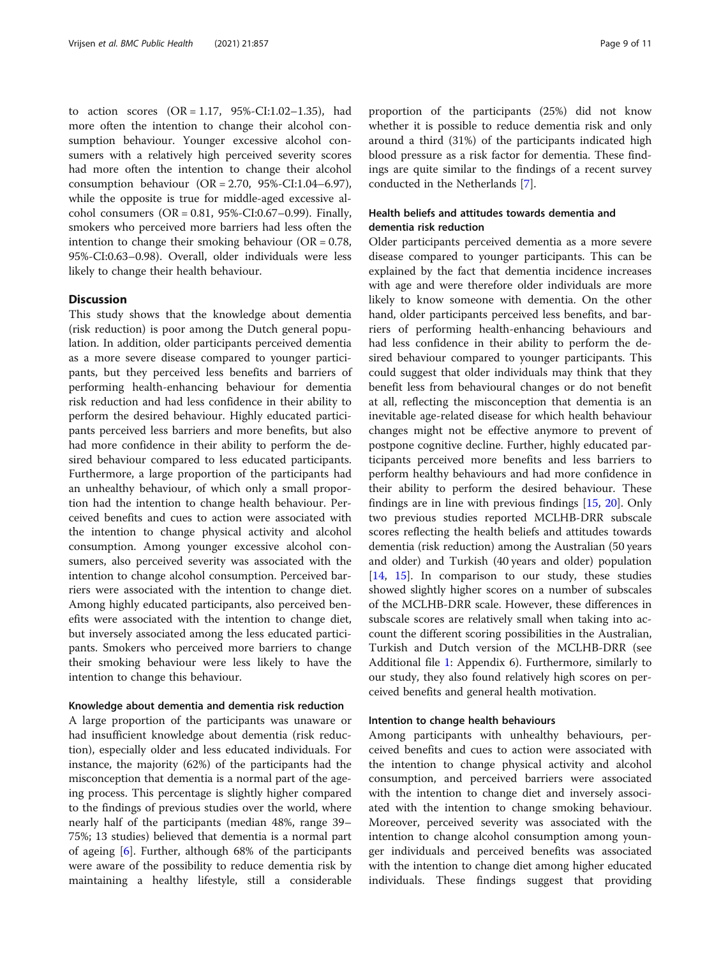to action scores  $(OR = 1.17, 95\% - CI:1.02 - 1.35)$ , had more often the intention to change their alcohol consumption behaviour. Younger excessive alcohol consumers with a relatively high perceived severity scores had more often the intention to change their alcohol consumption behaviour (OR = 2.70, 95%-CI:1.04–6.97), while the opposite is true for middle-aged excessive alcohol consumers  $(OR = 0.81, 95\% - CI: 0.67 - 0.99)$ . Finally, smokers who perceived more barriers had less often the intention to change their smoking behaviour ( $OR = 0.78$ , 95%-CI:0.63–0.98). Overall, older individuals were less likely to change their health behaviour.

### **Discussion**

This study shows that the knowledge about dementia (risk reduction) is poor among the Dutch general population. In addition, older participants perceived dementia as a more severe disease compared to younger participants, but they perceived less benefits and barriers of performing health-enhancing behaviour for dementia risk reduction and had less confidence in their ability to perform the desired behaviour. Highly educated participants perceived less barriers and more benefits, but also had more confidence in their ability to perform the desired behaviour compared to less educated participants. Furthermore, a large proportion of the participants had an unhealthy behaviour, of which only a small proportion had the intention to change health behaviour. Perceived benefits and cues to action were associated with the intention to change physical activity and alcohol consumption. Among younger excessive alcohol consumers, also perceived severity was associated with the intention to change alcohol consumption. Perceived barriers were associated with the intention to change diet. Among highly educated participants, also perceived benefits were associated with the intention to change diet, but inversely associated among the less educated participants. Smokers who perceived more barriers to change their smoking behaviour were less likely to have the intention to change this behaviour.

### Knowledge about dementia and dementia risk reduction

A large proportion of the participants was unaware or had insufficient knowledge about dementia (risk reduction), especially older and less educated individuals. For instance, the majority (62%) of the participants had the misconception that dementia is a normal part of the ageing process. This percentage is slightly higher compared to the findings of previous studies over the world, where nearly half of the participants (median 48%, range 39– 75%; 13 studies) believed that dementia is a normal part of ageing [\[6\]](#page-10-0). Further, although 68% of the participants were aware of the possibility to reduce dementia risk by maintaining a healthy lifestyle, still a considerable proportion of the participants (25%) did not know whether it is possible to reduce dementia risk and only around a third (31%) of the participants indicated high blood pressure as a risk factor for dementia. These findings are quite similar to the findings of a recent survey conducted in the Netherlands [[7\]](#page-10-0).

### Health beliefs and attitudes towards dementia and dementia risk reduction

Older participants perceived dementia as a more severe disease compared to younger participants. This can be explained by the fact that dementia incidence increases with age and were therefore older individuals are more likely to know someone with dementia. On the other hand, older participants perceived less benefits, and barriers of performing health-enhancing behaviours and had less confidence in their ability to perform the desired behaviour compared to younger participants. This could suggest that older individuals may think that they benefit less from behavioural changes or do not benefit at all, reflecting the misconception that dementia is an inevitable age-related disease for which health behaviour changes might not be effective anymore to prevent of postpone cognitive decline. Further, highly educated participants perceived more benefits and less barriers to perform healthy behaviours and had more confidence in their ability to perform the desired behaviour. These findings are in line with previous findings [[15](#page-10-0), [20\]](#page-10-0). Only two previous studies reported MCLHB-DRR subscale scores reflecting the health beliefs and attitudes towards dementia (risk reduction) among the Australian (50 years and older) and Turkish (40 years and older) population [[14,](#page-10-0) [15](#page-10-0)]. In comparison to our study, these studies showed slightly higher scores on a number of subscales of the MCLHB-DRR scale. However, these differences in subscale scores are relatively small when taking into account the different scoring possibilities in the Australian, Turkish and Dutch version of the MCLHB-DRR (see Additional file [1](#page-9-0): Appendix 6). Furthermore, similarly to our study, they also found relatively high scores on perceived benefits and general health motivation.

### Intention to change health behaviours

Among participants with unhealthy behaviours, perceived benefits and cues to action were associated with the intention to change physical activity and alcohol consumption, and perceived barriers were associated with the intention to change diet and inversely associated with the intention to change smoking behaviour. Moreover, perceived severity was associated with the intention to change alcohol consumption among younger individuals and perceived benefits was associated with the intention to change diet among higher educated individuals. These findings suggest that providing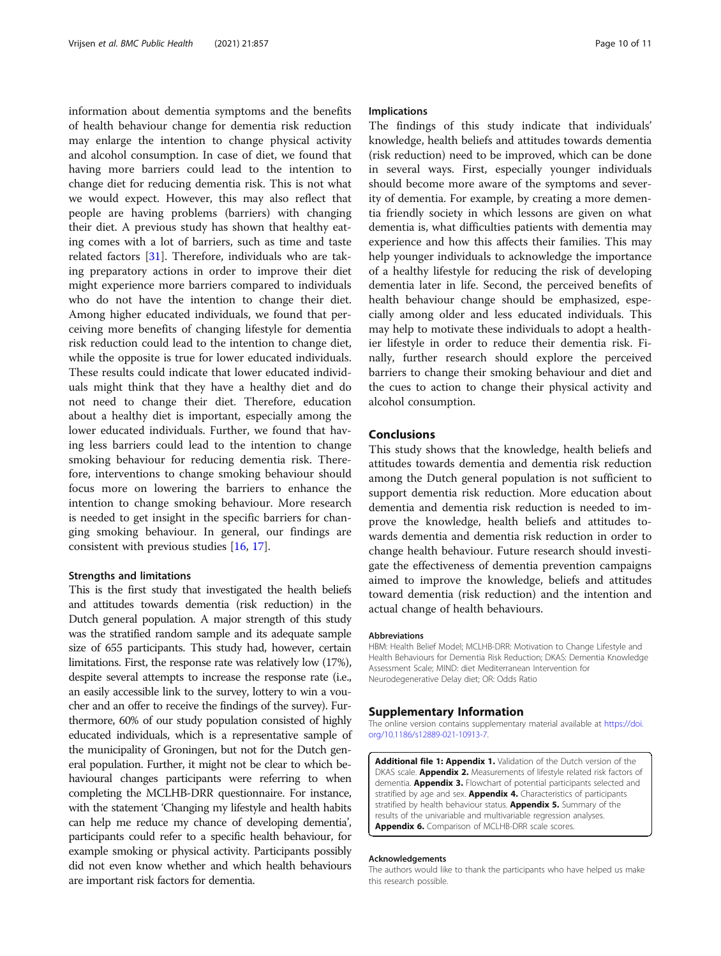<span id="page-9-0"></span>information about dementia symptoms and the benefits of health behaviour change for dementia risk reduction may enlarge the intention to change physical activity and alcohol consumption. In case of diet, we found that having more barriers could lead to the intention to change diet for reducing dementia risk. This is not what we would expect. However, this may also reflect that people are having problems (barriers) with changing their diet. A previous study has shown that healthy eating comes with a lot of barriers, such as time and taste related factors [\[31\]](#page-10-0). Therefore, individuals who are taking preparatory actions in order to improve their diet might experience more barriers compared to individuals who do not have the intention to change their diet. Among higher educated individuals, we found that perceiving more benefits of changing lifestyle for dementia risk reduction could lead to the intention to change diet, while the opposite is true for lower educated individuals. These results could indicate that lower educated individuals might think that they have a healthy diet and do not need to change their diet. Therefore, education about a healthy diet is important, especially among the lower educated individuals. Further, we found that having less barriers could lead to the intention to change smoking behaviour for reducing dementia risk. Therefore, interventions to change smoking behaviour should focus more on lowering the barriers to enhance the intention to change smoking behaviour. More research is needed to get insight in the specific barriers for changing smoking behaviour. In general, our findings are consistent with previous studies [\[16](#page-10-0), [17](#page-10-0)].

### Strengths and limitations

This is the first study that investigated the health beliefs and attitudes towards dementia (risk reduction) in the Dutch general population. A major strength of this study was the stratified random sample and its adequate sample size of 655 participants. This study had, however, certain limitations. First, the response rate was relatively low (17%), despite several attempts to increase the response rate (i.e., an easily accessible link to the survey, lottery to win a voucher and an offer to receive the findings of the survey). Furthermore, 60% of our study population consisted of highly educated individuals, which is a representative sample of the municipality of Groningen, but not for the Dutch general population. Further, it might not be clear to which behavioural changes participants were referring to when completing the MCLHB-DRR questionnaire. For instance, with the statement 'Changing my lifestyle and health habits can help me reduce my chance of developing dementia', participants could refer to a specific health behaviour, for example smoking or physical activity. Participants possibly did not even know whether and which health behaviours are important risk factors for dementia.

#### Implications

The findings of this study indicate that individuals' knowledge, health beliefs and attitudes towards dementia (risk reduction) need to be improved, which can be done in several ways. First, especially younger individuals should become more aware of the symptoms and severity of dementia. For example, by creating a more dementia friendly society in which lessons are given on what dementia is, what difficulties patients with dementia may experience and how this affects their families. This may help younger individuals to acknowledge the importance of a healthy lifestyle for reducing the risk of developing dementia later in life. Second, the perceived benefits of health behaviour change should be emphasized, especially among older and less educated individuals. This may help to motivate these individuals to adopt a healthier lifestyle in order to reduce their dementia risk. Finally, further research should explore the perceived barriers to change their smoking behaviour and diet and the cues to action to change their physical activity and alcohol consumption.

### Conclusions

This study shows that the knowledge, health beliefs and attitudes towards dementia and dementia risk reduction among the Dutch general population is not sufficient to support dementia risk reduction. More education about dementia and dementia risk reduction is needed to improve the knowledge, health beliefs and attitudes towards dementia and dementia risk reduction in order to change health behaviour. Future research should investigate the effectiveness of dementia prevention campaigns aimed to improve the knowledge, beliefs and attitudes toward dementia (risk reduction) and the intention and actual change of health behaviours.

#### Abbreviations

HBM: Health Belief Model; MCLHB-DRR: Motivation to Change Lifestyle and Health Behaviours for Dementia Risk Reduction; DKAS: Dementia Knowledge Assessment Scale; MIND: diet Mediterranean Intervention for Neurodegenerative Delay diet; OR: Odds Ratio

#### Supplementary Information

The online version contains supplementary material available at [https://doi.](https://doi.org/10.1186/s12889-021-10913-7) [org/10.1186/s12889-021-10913-7.](https://doi.org/10.1186/s12889-021-10913-7)

Additional file 1: Appendix 1. Validation of the Dutch version of the DKAS scale. **Appendix 2.** Measurements of lifestyle related risk factors of dementia. **Appendix 3.** Flowchart of potential participants selected and stratified by age and sex. **Appendix 4.** Characteristics of participants stratified by health behaviour status. Appendix 5. Summary of the results of the univariable and multivariable regression analyses. Appendix 6. Comparison of MCLHB-DRR scale scores.

#### Acknowledgements

The authors would like to thank the participants who have helped us make this research possible.